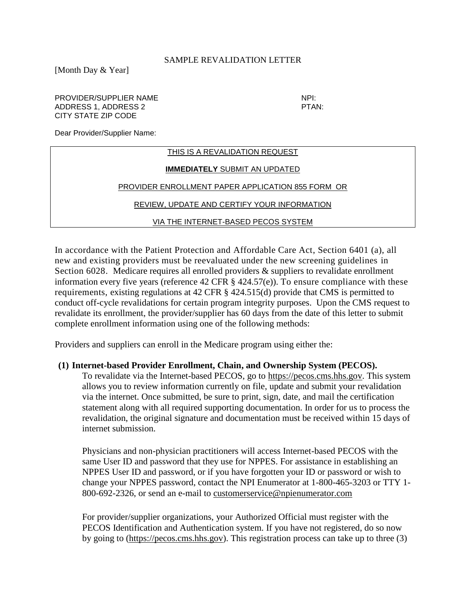## SAMPLE REVALIDATION LETTER

[Month Day & Year]

## PROVIDER/SUPPLIER NAME NEXT NEXT AND THE NPI: ADDRESS 1, ADDRESS 2 PTAN: CITY STATE ZIP CODE

Dear Provider/Supplier Name:

| THIS IS A REVALIDATION REQUEST                    |  |
|---------------------------------------------------|--|
| <b>IMMEDIATELY SUBMIT AN UPDATED</b>              |  |
| PROVIDER ENROLLMENT PAPER APPLICATION 855 FORM OR |  |
| REVIEW. UPDATE AND CERTIFY YOUR INFORMATION       |  |
| VIA THE INTERNET-BASED PECOS SYSTEM               |  |

In accordance with the Patient Protection and Affordable Care Act, Section 6401 (a), all new and existing providers must be reevaluated under the new screening guidelines in Section 6028. Medicare requires all enrolled providers & suppliers to revalidate enrollment information every five years (reference 42 CFR § 424.57(e)). To ensure compliance with these requirements, existing regulations at 42 CFR § 424.515(d) provide that CMS is permitted to conduct off-cycle revalidations for certain program integrity purposes. Upon the CMS request to revalidate its enrollment, the provider/supplier has 60 days from the date of this letter to submit complete enrollment information using one of the following methods:

Providers and suppliers can enroll in the Medicare program using either the:

## **(1) Internet-based Provider Enrollment, Chain, and Ownership System (PECOS).**

To revalidate via the Internet-based PECOS, go to [https://pecos.cms.hhs.gov.](https://pecos.cms.hhs.gov/) This system allows you to review information currently on file, update and submit your revalidation via the internet. Once submitted, be sure to print, sign, date, and mail the certification statement along with all required supporting documentation. In order for us to process the revalidation, the original signature and documentation must be received within 15 days of internet submission.

Physicians and non-physician practitioners will access Internet-based PECOS with the same User ID and password that they use for NPPES. For assistance in establishing an NPPES User ID and password, or if you have forgotten your ID or password or wish to change your NPPES password, contact the NPI Enumerator at 1-800-465-3203 or TTY 1- 800-692-2326, or send an e-mail to [customerservice@npienumerator.com](mailto:customerservice@npienumerator.com)

For provider/supplier organizations, your Authorized Official must register with the PECOS Identification and Authentication system. If you have not registered, do so now by going to [\(https://pecos.cms.hhs.gov\)](https://pecos.cms.hhs.gov/). This registration process can take up to three (3)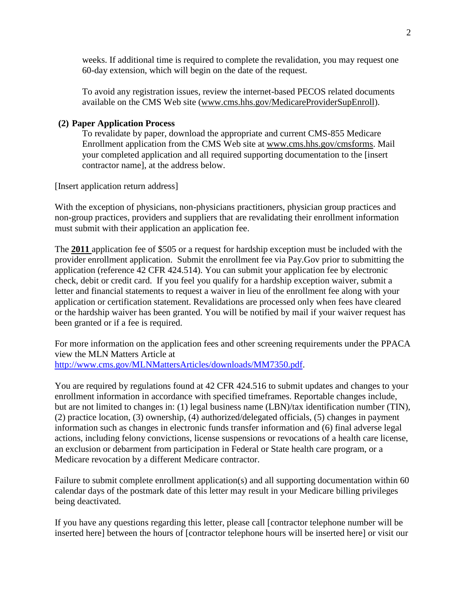weeks. If additional time is required to complete the revalidation, you may request one 60-day extension, which will begin on the date of the request.

To avoid any registration issues, review the internet-based PECOS related documents available on the CMS Web site [\(www.cms.hhs.gov/MedicareProviderSupEnroll\)](http://www.cms.hhs.gov/MedicareProviderSupEnroll).

## **(2) Paper Application Process**

To revalidate by paper, download the appropriate and current CMS-855 Medicare Enrollment application from the CMS Web site at [www.cms.hhs.gov/cmsforms.](http://www.cms.hhs.gov/cmsforms) Mail your completed application and all required supporting documentation to the [insert contractor name], at the address below.

[Insert application return address]

With the exception of physicians, non-physicians practitioners, physician group practices and non-group practices, providers and suppliers that are revalidating their enrollment information must submit with their application an application fee.

The **2011** application fee of \$505 or a request for hardship exception must be included with the provider enrollment application. Submit the enrollment fee via Pay.Gov prior to submitting the application (reference 42 CFR 424.514). You can submit your application fee by electronic check, debit or credit card. If you feel you qualify for a hardship exception waiver, submit a letter and financial statements to request a waiver in lieu of the enrollment fee along with your application or certification statement. Revalidations are processed only when fees have cleared or the hardship waiver has been granted. You will be notified by mail if your waiver request has been granted or if a fee is required.

For more information on the application fees and other screening requirements under the PPACA view the MLN Matters Article at [http://www.cms.gov/MLNMattersArticles/downloads/MM7350.pdf.](http://www.cms.gov/MLNMattersArticles/downloads/MM7350.pdf)

You are required by regulations found at 42 CFR 424.516 to submit updates and changes to your enrollment information in accordance with specified timeframes. Reportable changes include, but are not limited to changes in: (1) legal business name (LBN)/tax identification number (TIN), (2) practice location, (3) ownership, (4) authorized/delegated officials, (5) changes in payment information such as changes in electronic funds transfer information and (6) final adverse legal actions, including felony convictions, license suspensions or revocations of a health care license, an exclusion or debarment from participation in Federal or State health care program, or a Medicare revocation by a different Medicare contractor.

Failure to submit complete enrollment application(s) and all supporting documentation within 60 calendar days of the postmark date of this letter may result in your Medicare billing privileges being deactivated.

If you have any questions regarding this letter, please call [contractor telephone number will be inserted here] between the hours of [contractor telephone hours will be inserted here] or visit our